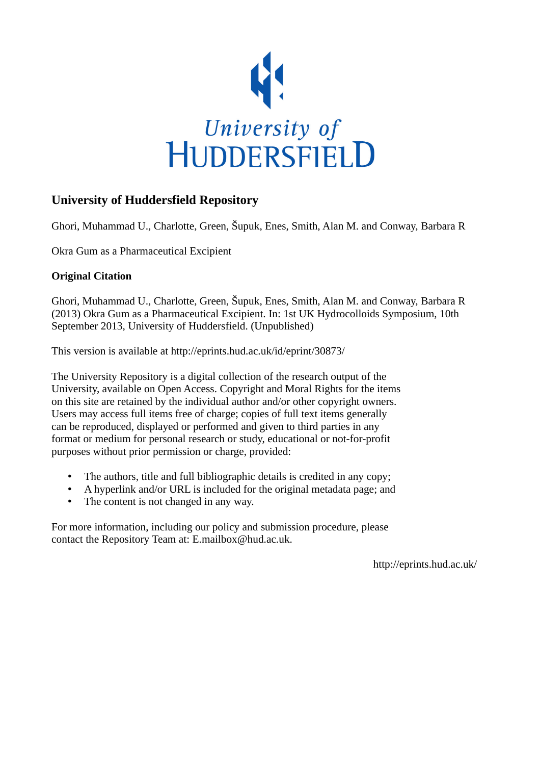

# **University of Huddersfield Repository**

Ghori, Muhammad U., Charlotte, Green, Šupuk, Enes, Smith, Alan M. and Conway, Barbara R

Okra Gum as a Pharmaceutical Excipient

## **Original Citation**

Ghori, Muhammad U., Charlotte, Green, Šupuk, Enes, Smith, Alan M. and Conway, Barbara R (2013) Okra Gum as a Pharmaceutical Excipient. In: 1st UK Hydrocolloids Symposium, 10th September 2013, University of Huddersfield. (Unpublished)

This version is available at http://eprints.hud.ac.uk/id/eprint/30873/

The University Repository is a digital collection of the research output of the University, available on Open Access. Copyright and Moral Rights for the items on this site are retained by the individual author and/or other copyright owners. Users may access full items free of charge; copies of full text items generally can be reproduced, displayed or performed and given to third parties in any format or medium for personal research or study, educational or not-for-profit purposes without prior permission or charge, provided:

- The authors, title and full bibliographic details is credited in any copy;
- A hyperlink and/or URL is included for the original metadata page; and
- The content is not changed in any way.

For more information, including our policy and submission procedure, please contact the Repository Team at: E.mailbox@hud.ac.uk.

http://eprints.hud.ac.uk/